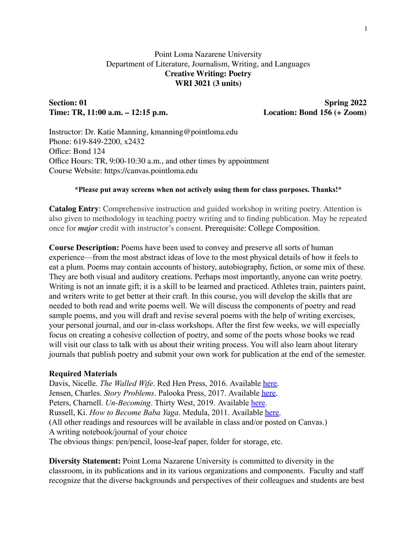## Point Loma Nazarene University Department of Literature, Journalism, Writing, and Languages **Creative Writing: Poetry WRI 3021 (3 units)**

# **Section: 01 Spring 2022 Time: TR, 11:00 a.m. – 12:15 p.m. Location: Bond 156 (+ Zoom)**

Instructor: Dr. Katie Manning, kmanning@pointloma.edu Phone: 619-849-2200, x2432 Office: Bond 124 Office Hours: TR, 9:00-10:30 a.m., and other times by appointment Course Website: https://canvas.pointloma.edu

#### **\*Please put away screens when not actively using them for class purposes. Thanks!\***

**Catalog Entry**: Comprehensive instruction and guided workshop in writing poetry. Attention is also given to methodology in teaching poetry writing and to finding publication. May be repeated once for *major* credit with instructor's consent. Prerequisite: College Composition.

**Course Description:** Poems have been used to convey and preserve all sorts of human experience—from the most abstract ideas of love to the most physical details of how it feels to eat a plum. Poems may contain accounts of history, autobiography, fiction, or some mix of these. They are both visual and auditory creations. Perhaps most importantly, anyone can write poetry. Writing is not an innate gift; it is a skill to be learned and practiced. Athletes train, painters paint, and writers write to get better at their craft. In this course, you will develop the skills that are needed to both read and write poems well. We will discuss the components of poetry and read sample poems, and you will draft and revise several poems with the help of writing exercises, your personal journal, and our in-class workshops. After the first few weeks, we will especially focus on creating a cohesive collection of poetry, and some of the poets whose books we read will visit our class to talk with us about their writing process. You will also learn about literary journals that publish poetry and submit your own work for publication at the end of the semester.

#### **Required Materials**

Davis, Nicelle. *The Walled Wife*. Red Hen Press, 2016. Available [here.](https://bookshop.org/books/the-walled-wife/9781597097253?aid=177&listref=poetry) Jensen, Charles. *Story Problems*. Palooka Press, 2017. Available [here.](http://palookamag.com/chapbooks) Peters, Charnell. *Un-Becoming*. Thirty West, 2019. Available [here](https://www.thirtywestph.com/shop/unbecoming). Russell, Ki. *How to Become Baba Yaga*. Medula, 2011. Available [here.](http://www.lulu.com/us/en/shop/ki-russell/how-to-become-baba-yaga/paperback/product-17793065.html) (All other readings and resources will be available in class and/or posted on Canvas.) A writing notebook/journal of your choice The obvious things: pen/pencil, loose-leaf paper, folder for storage, etc.

**Diversity Statement:** Point Loma Nazarene University is committed to diversity in the classroom, in its publications and in its various organizations and components. Faculty and staff recognize that the diverse backgrounds and perspectives of their colleagues and students are best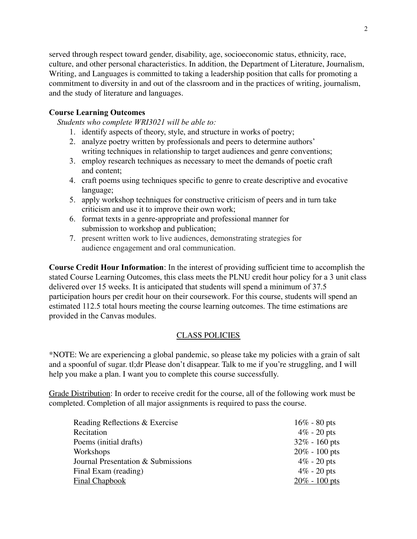served through respect toward gender, disability, age, socioeconomic status, ethnicity, race, culture, and other personal characteristics. In addition, the Department of Literature, Journalism, Writing, and Languages is committed to taking a leadership position that calls for promoting a commitment to diversity in and out of the classroom and in the practices of writing, journalism, and the study of literature and languages.

## **Course Learning Outcomes**

*Students who complete WRI3021 will be able to:*

- 1. identify aspects of theory, style, and structure in works of poetry;
- 2. analyze poetry written by professionals and peers to determine authors' writing techniques in relationship to target audiences and genre conventions;
- 3. employ research techniques as necessary to meet the demands of poetic craft and content;
- 4. craft poems using techniques specific to genre to create descriptive and evocative language;
- 5. apply workshop techniques for constructive criticism of peers and in turn take criticism and use it to improve their own work;
- 6. format texts in a genre-appropriate and professional manner for submission to workshop and publication;
- 7. present written work to live audiences, demonstrating strategies for audience engagement and oral communication.

**Course Credit Hour Information**: In the interest of providing sufficient time to accomplish the stated Course Learning Outcomes, this class meets the PLNU credit hour policy for a 3 unit class delivered over 15 weeks. It is anticipated that students will spend a minimum of 37.5 participation hours per credit hour on their coursework. For this course, students will spend an estimated 112.5 total hours meeting the course learning outcomes. The time estimations are provided in the Canvas modules.

# CLASS POLICIES

\*NOTE: We are experiencing a global pandemic, so please take my policies with a grain of salt and a spoonful of sugar. tl;dr Please don't disappear. Talk to me if you're struggling, and I will help you make a plan. I want you to complete this course successfully.

Grade Distribution: In order to receive credit for the course, all of the following work must be completed. Completion of all major assignments is required to pass the course.

| Reading Reflections & Exercise     | $16\% - 80$ pts  |
|------------------------------------|------------------|
| Recitation                         | $4\%$ - 20 pts   |
| Poems (initial drafts)             | $32\% - 160$ pts |
| Workshops                          | $20\% - 100$ pts |
| Journal Presentation & Submissions | $4\%$ - 20 pts   |
| Final Exam (reading)               | $4\%$ - 20 pts   |
| <b>Final Chapbook</b>              | $20\% - 100$ pts |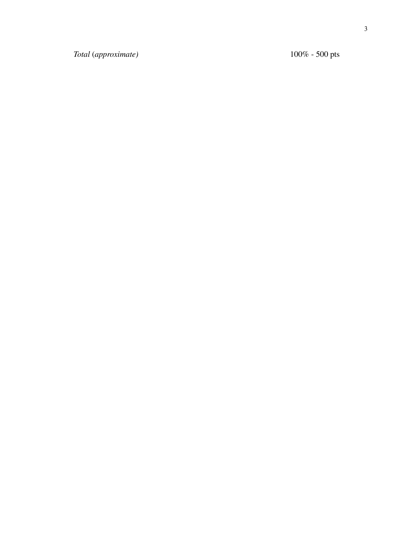*To ta l* ( *app ro x i m a t e )*

 $100\% - 500$  pts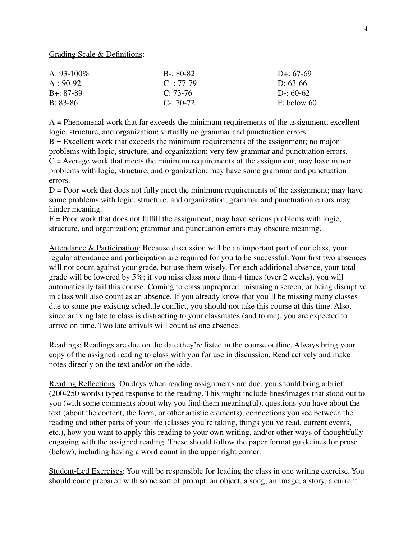Grading Scale & Definitions:

| A: $93-100\%$ | $B - 80 - 82$   | D+: $67-69$   |
|---------------|-----------------|---------------|
| $A - 90-92$   | $C_{+}$ : 77-79 | D: $63-66$    |
| $B + 87-89$   | $C: 73-76$      | $D: 60-62$    |
| $B: 83-86$    | $C - 70 - 72$   | $F:$ below 60 |

A = Phenomenal work that far exceeds the minimum requirements of the assignment; excellent logic, structure, and organization; virtually no grammar and punctuation errors.

 $B =$  Excellent work that exceeds the minimum requirements of the assignment; no major problems with logic, structure, and organization; very few grammar and punctuation errors.  $C =$  Average work that meets the minimum requirements of the assignment; may have minor problems with logic, structure, and organization; may have some grammar and punctuation errors.

 $D =$  Poor work that does not fully meet the minimum requirements of the assignment; may have some problems with logic, structure, and organization; grammar and punctuation errors may hinder meaning.

 $F =$  Poor work that does not fulfill the assignment; may have serious problems with logic, structure, and organization; grammar and punctuation errors may obscure meaning.

Attendance & Participation: Because discussion will be an important part of our class, your regular attendance and participation are required for you to be successful. Your first two absences will not count against your grade, but use them wisely. For each additional absence, your total grade will be lowered by 5%; if you miss class more than 4 times (over 2 weeks), you will automatically fail this course. Coming to class unprepared, misusing a screen, or being disruptive in class will also count as an absence. If you already know that you'll be missing many classes due to some pre-existing schedule conflict, you should not take this course at this time. Also, since arriving late to class is distracting to your classmates (and to me), you are expected to arrive on time. Two late arrivals will count as one absence.

Readings: Readings are due on the date they're listed in the course outline. Always bring your copy of the assigned reading to class with you for use in discussion. Read actively and make notes directly on the text and/or on the side.

Reading Reflections: On days when reading assignments are due, you should bring a brief (200-250 words) typed response to the reading. This might include lines/images that stood out to you (with some comments about why you find them meaningful), questions you have about the text (about the content, the form, or other artistic elements), connections you see between the reading and other parts of your life (classes you're taking, things you've read, current events, etc.), how you want to apply this reading to your own writing, and/or other ways of thoughtfully engaging with the assigned reading. These should follow the paper format guidelines for prose (below), including having a word count in the upper right corner.

Student-Led Exercises: You will be responsible for leading the class in one writing exercise. You should come prepared with some sort of prompt: an object, a song, an image, a story, a current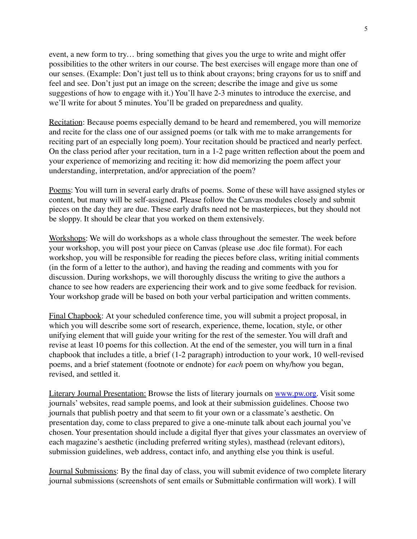event, a new form to try… bring something that gives you the urge to write and might offer possibilities to the other writers in our course. The best exercises will engage more than one of our senses. (Example: Don't just tell us to think about crayons; bring crayons for us to sniff and feel and see. Don't just put an image on the screen; describe the image and give us some suggestions of how to engage with it.) You'll have 2-3 minutes to introduce the exercise, and we'll write for about 5 minutes. You'll be graded on preparedness and quality.

Recitation: Because poems especially demand to be heard and remembered, you will memorize and recite for the class one of our assigned poems (or talk with me to make arrangements for reciting part of an especially long poem). Your recitation should be practiced and nearly perfect. On the class period after your recitation, turn in a 1-2 page written reflection about the poem and your experience of memorizing and reciting it: how did memorizing the poem affect your understanding, interpretation, and/or appreciation of the poem?

Poems: You will turn in several early drafts of poems. Some of these will have assigned styles or content, but many will be self-assigned. Please follow the Canvas modules closely and submit pieces on the day they are due. These early drafts need not be masterpieces, but they should not be sloppy. It should be clear that you worked on them extensively.

Workshops: We will do workshops as a whole class throughout the semester. The week before your workshop, you will post your piece on Canvas (please use .doc file format). For each workshop, you will be responsible for reading the pieces before class, writing initial comments (in the form of a letter to the author), and having the reading and comments with you for discussion. During workshops, we will thoroughly discuss the writing to give the authors a chance to see how readers are experiencing their work and to give some feedback for revision. Your workshop grade will be based on both your verbal participation and written comments.

Final Chapbook: At your scheduled conference time, you will submit a project proposal, in which you will describe some sort of research, experience, theme, location, style, or other unifying element that will guide your writing for the rest of the semester. You will draft and revise at least 10 poems for this collection. At the end of the semester, you will turn in a final chapbook that includes a title, a brief (1-2 paragraph) introduction to your work, 10 well-revised poems, and a brief statement (footnote or endnote) for *each* poem on why/how you began, revised, and settled it.

Literary Journal Presentation: Browse the lists of literary journals on [www.pw.org.](http://www.pw.org) Visit some journals' websites, read sample poems, and look at their submission guidelines. Choose two journals that publish poetry and that seem to fit your own or a classmate's aesthetic. On presentation day, come to class prepared to give a one-minute talk about each journal you've chosen. Your presentation should include a digital flyer that gives your classmates an overview of each magazine's aesthetic (including preferred writing styles), masthead (relevant editors), submission guidelines, web address, contact info, and anything else you think is useful.

Journal Submissions: By the final day of class, you will submit evidence of two complete literary journal submissions (screenshots of sent emails or Submittable confirmation will work). I will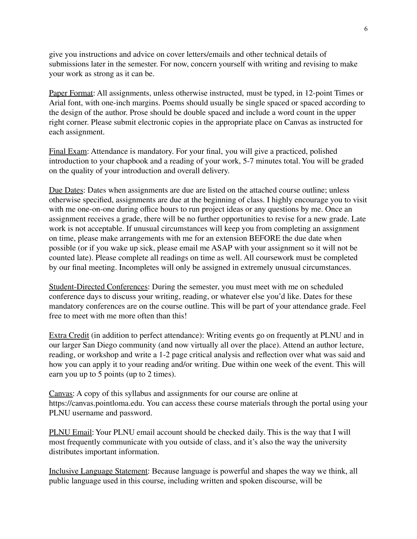give you instructions and advice on cover letters/emails and other technical details of submissions later in the semester. For now, concern yourself with writing and revising to make your work as strong as it can be.

Paper Format: All assignments, unless otherwise instructed, must be typed, in 12-point Times or Arial font, with one-inch margins. Poems should usually be single spaced or spaced according to the design of the author. Prose should be double spaced and include a word count in the upper right corner. Please submit electronic copies in the appropriate place on Canvas as instructed for each assignment.

Final Exam: Attendance is mandatory. For your final, you will give a practiced, polished introduction to your chapbook and a reading of your work, 5-7 minutes total. You will be graded on the quality of your introduction and overall delivery.

Due Dates: Dates when assignments are due are listed on the attached course outline; unless otherwise specified, assignments are due at the beginning of class. I highly encourage you to visit with me one-on-one during office hours to run project ideas or any questions by me. Once an assignment receives a grade, there will be no further opportunities to revise for a new grade. Late work is not acceptable. If unusual circumstances will keep you from completing an assignment on time, please make arrangements with me for an extension BEFORE the due date when possible (or if you wake up sick, please email me ASAP with your assignment so it will not be counted late). Please complete all readings on time as well. All coursework must be completed by our final meeting. Incompletes will only be assigned in extremely unusual circumstances.

Student-Directed Conferences: During the semester, you must meet with me on scheduled conference days to discuss your writing, reading, or whatever else you'd like. Dates for these mandatory conferences are on the course outline. This will be part of your attendance grade. Feel free to meet with me more often than this!

Extra Credit (in addition to perfect attendance): Writing events go on frequently at PLNU and in our larger San Diego community (and now virtually all over the place). Attend an author lecture, reading, or workshop and write a 1-2 page critical analysis and reflection over what was said and how you can apply it to your reading and/or writing. Due within one week of the event. This will earn you up to 5 points (up to 2 times).

Canvas: A copy of this syllabus and assignments for our course are online at https://canvas.pointloma.edu. You can access these course materials through the portal using your PLNU username and password.

PLNU Email: Your PLNU email account should be checked daily. This is the way that I will most frequently communicate with you outside of class, and it's also the way the university distributes important information.

Inclusive Language Statement: Because language is powerful and shapes the way we think, all public language used in this course, including written and spoken discourse, will be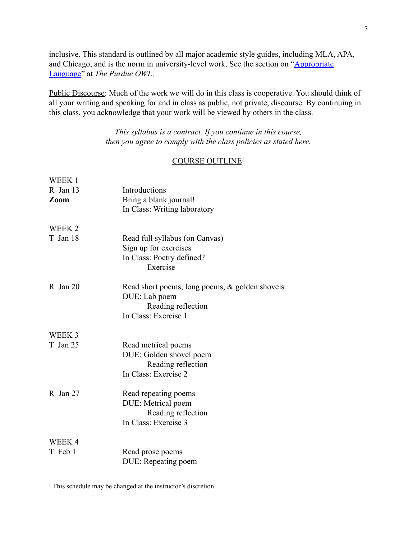inclusive. This standard is outlined by all major academic style guides, including MLA, APA, and Chicago, and is the norm in university-level work. See the section on "[Appropriate](https://owl.purdue.edu/owl/general_writing/academic_writing/using_appropriate_language/index.html) [Language](https://owl.purdue.edu/owl/general_writing/academic_writing/using_appropriate_language/index.html)" at *The Purdue OWL*.

Public Discourse: Much of the work we will do in this class is cooperative. You should think of all your writing and speaking for and in class as public, not private, discourse. By continuing in this class, you acknowledge that your work will be viewed by others in the class.

> *This syllabus is a contract. If you continue in this course, then you agree to comply with the class policies as stated here.*

#### COURSE OUTLINE<sup>1</sup>

| WEEK 1            |                                                   |
|-------------------|---------------------------------------------------|
| R Jan 13          | Introductions                                     |
| Zoom              | Bring a blank journal!                            |
|                   | In Class: Writing laboratory                      |
| WEEK <sub>2</sub> |                                                   |
| T Jan 18          | Read full syllabus (on Canvas)                    |
|                   | Sign up for exercises                             |
|                   | In Class: Poetry defined?                         |
|                   | Exercise                                          |
| $R$ Jan 20        | Read short poems, long poems, $\&$ golden shovels |
|                   | DUE: Lab poem                                     |
|                   | Reading reflection                                |
|                   | In Class: Exercise 1                              |
| WEEK 3            |                                                   |
| T Jan 25          | Read metrical poems                               |
|                   | DUE: Golden shovel poem                           |
|                   | Reading reflection                                |
|                   | In Class: Exercise 2                              |
| $R$ Jan 27        | Read repeating poems                              |
|                   | DUE: Metrical poem                                |
|                   | Reading reflection                                |
|                   | In Class: Exercise 3                              |
| WEEK4             |                                                   |
| T Feb 1           | Read prose poems                                  |
|                   | DUE: Repeating poem                               |

<sup>&</sup>lt;sup>1</sup> This schedule may be changed at the instructor's discretion.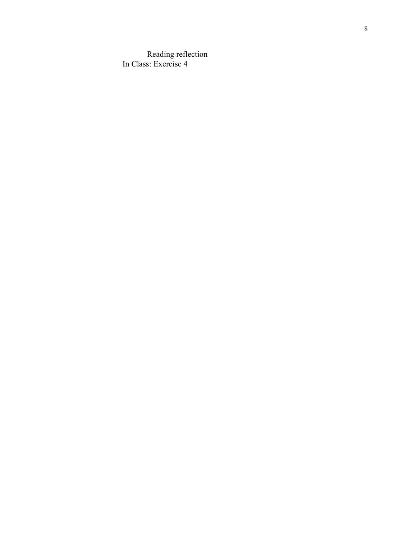Reading reflection In Class: Exercise 4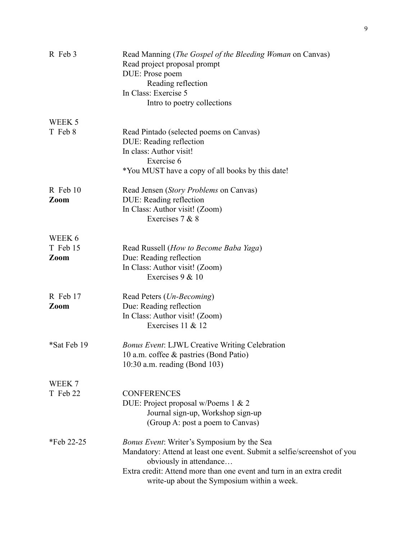| R Feb 3          | Read Manning ( <i>The Gospel of the Bleeding Woman</i> on Canvas)<br>Read project proposal prompt<br>DUE: Prose poem<br>Reading reflection<br>In Class: Exercise 5<br>Intro to poetry collections                                                                              |
|------------------|--------------------------------------------------------------------------------------------------------------------------------------------------------------------------------------------------------------------------------------------------------------------------------|
| WEEK 5           |                                                                                                                                                                                                                                                                                |
| T Feb 8          | Read Pintado (selected poems on Canvas)<br>DUE: Reading reflection<br>In class: Author visit!<br>Exercise 6<br>*You MUST have a copy of all books by this date!                                                                                                                |
| R Feb 10<br>Zoom | Read Jensen (Story Problems on Canvas)<br>DUE: Reading reflection<br>In Class: Author visit! (Zoom)<br>Exercises 7 & 8                                                                                                                                                         |
| WEEK 6           |                                                                                                                                                                                                                                                                                |
| T Feb 15         | Read Russell (How to Become Baba Yaga)                                                                                                                                                                                                                                         |
| Zoom             | Due: Reading reflection<br>In Class: Author visit! (Zoom)<br>Exercises 9 & 10                                                                                                                                                                                                  |
| R Feb 17<br>Zoom | Read Peters ( <i>Un-Becoming</i> )<br>Due: Reading reflection<br>In Class: Author visit! (Zoom)                                                                                                                                                                                |
|                  | Exercises 11 & 12                                                                                                                                                                                                                                                              |
| *Sat Feb 19      | <b>Bonus Event: LJWL Creative Writing Celebration</b><br>10 a.m. coffee & pastries (Bond Patio)<br>10:30 a.m. reading (Bond 103)                                                                                                                                               |
| WEEK 7           |                                                                                                                                                                                                                                                                                |
| T Feb 22         | <b>CONFERENCES</b><br>DUE: Project proposal w/Poems 1 & 2<br>Journal sign-up, Workshop sign-up<br>(Group A: post a poem to Canvas)                                                                                                                                             |
| *Feb 22-25       | <i>Bonus Event:</i> Writer's Symposium by the Sea<br>Mandatory: Attend at least one event. Submit a selfie/screenshot of you<br>obviously in attendance<br>Extra credit: Attend more than one event and turn in an extra credit<br>write-up about the Symposium within a week. |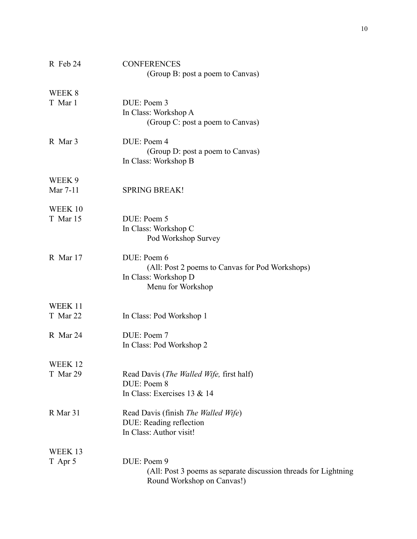| R Feb 24            | <b>CONFERENCES</b><br>(Group B: post a poem to Canvas)                                                       |
|---------------------|--------------------------------------------------------------------------------------------------------------|
| WEEK 8<br>T Mar 1   | DUE: Poem 3<br>In Class: Workshop A<br>(Group C: post a poem to Canvas)                                      |
| R Mar 3             | DUE: Poem 4<br>(Group D: post a poem to Canvas)<br>In Class: Workshop B                                      |
| WEEK 9<br>Mar 7-11  | <b>SPRING BREAK!</b>                                                                                         |
| WEEK 10<br>T Mar 15 | DUE: Poem 5<br>In Class: Workshop C<br>Pod Workshop Survey                                                   |
| R Mar 17            | DUE: Poem 6<br>(All: Post 2 poems to Canvas for Pod Workshops)<br>In Class: Workshop D<br>Menu for Workshop  |
| WEEK 11<br>T Mar 22 | In Class: Pod Workshop 1                                                                                     |
| R Mar 24            | DUE: Poem 7<br>In Class: Pod Workshop 2                                                                      |
| WEEK 12<br>T Mar 29 | Read Davis (The Walled Wife, first half)<br>DUE: Poem 8<br>In Class: Exercises 13 & 14                       |
| R Mar 31            | Read Davis (finish The Walled Wife)<br>DUE: Reading reflection<br>In Class: Author visit!                    |
| WEEK 13<br>T Apr 5  | DUE: Poem 9<br>(All: Post 3 poems as separate discussion threads for Lightning<br>Round Workshop on Canvas!) |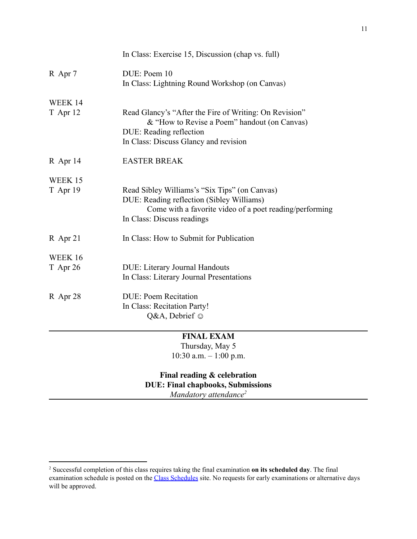|                     | In Class: Exercise 15, Discussion (chap vs. full)                                                                                                                                   |
|---------------------|-------------------------------------------------------------------------------------------------------------------------------------------------------------------------------------|
| R Apr 7             | DUE: Poem 10<br>In Class: Lightning Round Workshop (on Canvas)                                                                                                                      |
| WEEK 14<br>T Apr 12 | Read Glancy's "After the Fire of Writing: On Revision"<br>& "How to Revise a Poem" handout (on Canvas)<br>DUE: Reading reflection<br>In Class: Discuss Glancy and revision          |
| R Apr 14            | <b>EASTER BREAK</b>                                                                                                                                                                 |
| WEEK 15<br>T Apr 19 | Read Sibley Williams's "Six Tips" (on Canvas)<br>DUE: Reading reflection (Sibley Williams)<br>Come with a favorite video of a poet reading/performing<br>In Class: Discuss readings |
| R Apr 21            | In Class: How to Submit for Publication                                                                                                                                             |
| WEEK 16<br>T Apr 26 | <b>DUE: Literary Journal Handouts</b><br>In Class: Literary Journal Presentations                                                                                                   |
| R Apr 28            | <b>DUE: Poem Recitation</b><br>In Class: Recitation Party!<br>Q&A, Debrief ©                                                                                                        |
|                     | <b>FINAL EXAM</b><br>Thursday, May 5<br>10:30 a.m. $-1:00$ p.m.                                                                                                                     |

# **Final reading & celebration DUE: Final chapbooks, Submissions** *Mandatory attendance<sup>2</sup>*

<sup>2</sup> Successful completion of this class requires taking the final examination **on its scheduled day**. The final examination schedule is posted on the Class [Schedules](http://www.pointloma.edu/experience/academics/class-schedules) site. No requests for early examinations or alternative days will be approved.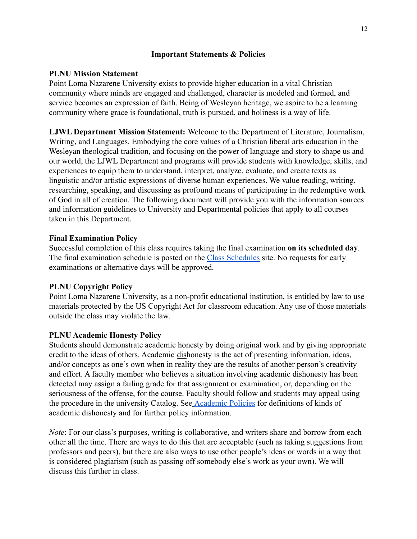### **Important Statements & Policies**

#### **PLNU Mission Statement**

Point Loma Nazarene University exists to provide higher education in a vital Christian community where minds are engaged and challenged, character is modeled and formed, and service becomes an expression of faith. Being of Wesleyan heritage, we aspire to be a learning community where grace is foundational, truth is pursued, and holiness is a way of life.

**LJWL Department Mission Statement:** Welcome to the Department of Literature, Journalism, Writing, and Languages. Embodying the core values of a Christian liberal arts education in the Wesleyan theological tradition, and focusing on the power of language and story to shape us and our world, the LJWL Department and programs will provide students with knowledge, skills, and experiences to equip them to understand, interpret, analyze, evaluate, and create texts as linguistic and/or artistic expressions of diverse human experiences. We value reading, writing, researching, speaking, and discussing as profound means of participating in the redemptive work of God in all of creation. The following document will provide you with the information sources and information guidelines to University and Departmental policies that apply to all courses taken in this Department.

#### **Final Examination Policy**

Successful completion of this class requires taking the final examination **on its scheduled day**. The final examination schedule is posted on the Class [Schedules](http://www.pointloma.edu/experience/academics/class-schedules) site. No requests for early examinations or alternative days will be approved.

### **PLNU Copyright Policy**

Point Loma Nazarene University, as a non-profit educational institution, is entitled by law to use materials protected by the US Copyright Act for classroom education. Any use of those materials outside the class may violate the law.

### **PLNU Academic Honesty Policy**

Students should demonstrate academic honesty by doing original work and by giving appropriate credit to the ideas of others. Academic dishonesty is the act of presenting information, ideas, and/or concepts as one's own when in reality they are the results of another person's creativity and effort. A faculty member who believes a situation involving academic dishonesty has been detected may assign a failing grade for that assignment or examination, or, depending on the seriousness of the offense, for the course. Faculty should follow and students may appeal using the procedure in the university Catalog. See [Academic](http://catalog.pointloma.edu/content.php?catoid=18&navoid=1278) Policies for definitions of kinds of academic dishonesty and for further policy information.

*Note*: For our class's purposes, writing is collaborative, and writers share and borrow from each other all the time. There are ways to do this that are acceptable (such as taking suggestions from professors and peers), but there are also ways to use other people's ideas or words in a way that is considered plagiarism (such as passing off somebody else's work as your own). We will discuss this further in class.